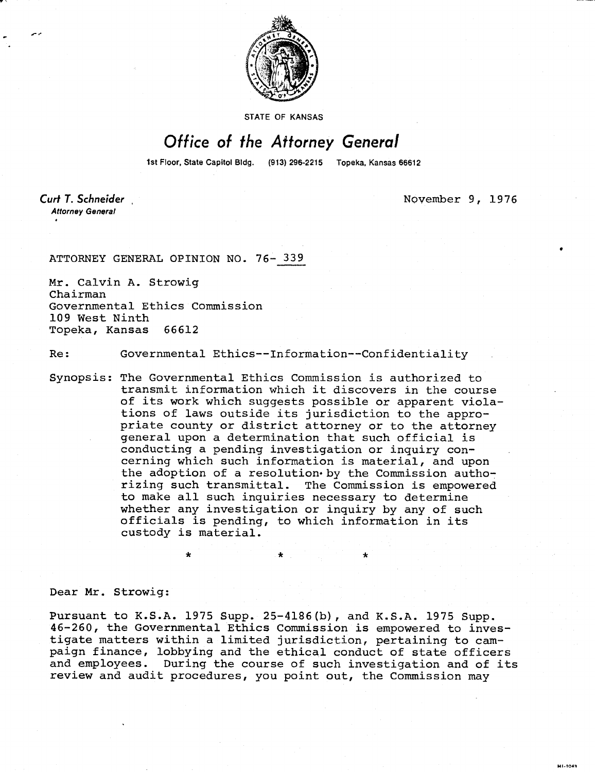

STATE OF KANSAS

## Office of the Attorney General

1st Floor, State Capitol Bldg. (913) 296-2215 Topeka, Kansas 66612

Curt T. Schneider **Attorney General** 

November 9, 1976

MI-1043

ATTORNEY GENERAL OPINION NO. 76- 339

Mr. Calvin A. Strowig Chairman Governmental Ethics Commission 109 West Ninth Topeka, Kansas 66612

Re: Governmental Ethics--Information--Confidentiality

Synopsis: The Governmental Ethics Commission is authorized to transmit information which it discovers in the course of its work which suggests possible or apparent violations of laws outside its jurisdiction to the appropriate county or district attorney or to the attorney general upon a determination that such official is conducting a pending investigation or inquiry concerning which such information is material, and upon the adoption of a resolution by the Commission authorizing such transmittal. The Commission is empowered to make all such inquiries necessary to determine whether any investigation or inquiry by any of such officials is pending, to which information in its custody is material.

Dear Mr. Strowig:

Pursuant to K.S.A. 1975 Supp. 25-4186(b), and K.S.A. 1975 Supp. 46-260, the Governmental Ethics Commission is empowered to investigate matters within a limited jurisdiction, pertaining to campaign finance, lobbying and the ethical conduct of state officers and employees. During the course of such investigation and of its review and audit procedures, you point out, the Commission may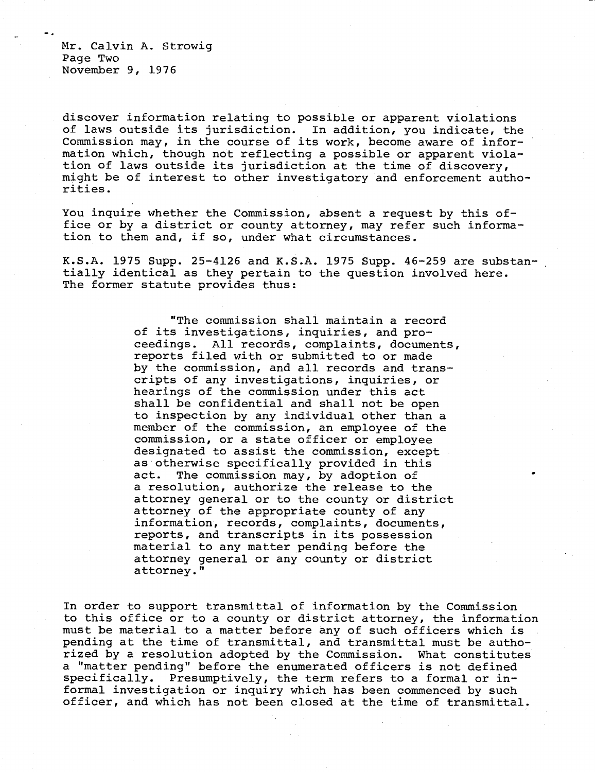Mr. Calvin A. Strowig Page Two November 9, 1976

discover information relating to possible or apparent violations of laws outside its jurisdiction. In addition, you indicate, the Commission may, in the course of its work, become aware of information which, though not reflecting a possible or apparent violation of laws outside its jurisdiction at the time of discovery, might be of interest to other investigatory and enforcement authorities.

You inquire whether the Commission, absent a request by this office or by a district or county attorney, may refer such information to them and, if so, under what circumstances.

K.S.A. 1975 Supp. 25-4126 and K.S.A. 1975 Supp. 46-259 are substantially identical as they pertain to the question involved here. The former statute provides thus:

> "The commission shall maintain a record of its investigations, inquiries, and proceedings. All records, complaints, documents, reports filed with or submitted to or made by the commission, and all records and transcripts of any investigations, inquiries, or hearings of the commission under this act shall be confidential and shall not be open to inspection by any individual other than a member of the commission, an employee of the commission, or a state officer or employee designated to assist the commission, except as otherwise specifically provided in this act. The commission may, by adoption of a resolution, authorize the release to the attorney general or to the county or district attorney of the appropriate county of any information, records, complaints, documents, reports, and transcripts in its possession material to any matter pending before the attorney general or any county or district attorney."

In order to support transmittal of information by the Commission to this office or to a county or district attorney, the information must be material to a matter before any of such officers which is pending at the time of transmittal, and transmittal must be authorized by a resolution adopted by the Commission. What constitutes a "matter pending" before the enumerated officers is not defined specifically. Presumptively, the term refers to a formal or informal investigation or inquiry which has been commenced by such officer, and which has not been closed at the time of transmittal.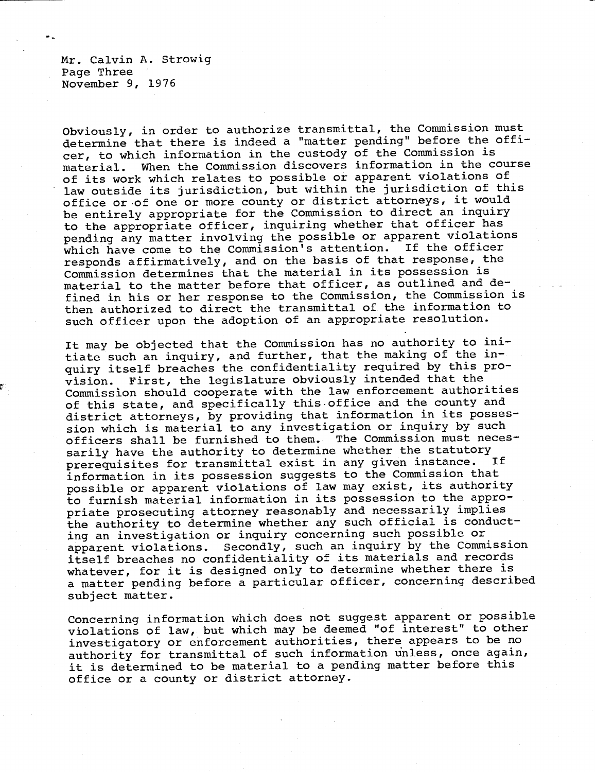Mr. Calvin A. Strowig Page Three November 9, 1976

Obviously, in order to authorize transmittal, the Commission must determine that there is indeed a "matter pending" before the officer, to which information in the custody of the Commission is material. When the Commission discovers information in the course of its work which relates to possible or apparent violations of law outside its jurisdiction, but within the jurisdiction of this office or of one or more county or district attorneys, it would be entirely appropriate for the Commission to direct an inquiry to the appropriate officer, inquiring whether that officer has pending any matter involving the possible or apparent violations which have come to the Commission's attention. If the officer responds affirmatively, and on the basis of that response, the Commission determines that the material in its possession is material to the matter before that officer, as outlined and defined in his or her response to the Commission, the Commission is then authorized to direct the transmittal of the information to such officer upon the adoption of an appropriate resolution.

It may be objected that the Commission has no authority to initiate such an inquiry, and further, that the making of the inquiry itself breaches the confidentiality required by this provision. First, the legislature obviously intended that the Commission should cooperate with the law enforcement authorities of this state, and specifically this office and the county and district attorneys, by providing that information in its possession which is material to any investigation or inquiry by such officers shall be furnished to them. The Commission must necessarily have the authority to determine whether the statutory<br>proroquisites for transmittal exist in any given instance. If prerequisites for transmittal exist in any given instance. information in its possession suggests to the Commission that possible or apparent violations of law may exist, its authority to furnish material information in its possession to the appropriate prosecuting attorney reasonably and necessarily implies the authority to determine whether any such official is conducting an investigation or inquiry concerning such possible or apparent violations. Secondly, such an inquiry by the Commission itself breaches no confidentiality of its materials and records whatever, for it is designed only to determine whether there is a matter pending before a particular officer, concerning described subject matter.

Concerning information which does not suggest apparent or possible violations of law, but which may be deemed "of interest" to other investigatory or enforcement authorities, there appears to be no authority for transmittal of such information unless, once again, it is determined to be material to a pending matter before this office or a county or district attorney.